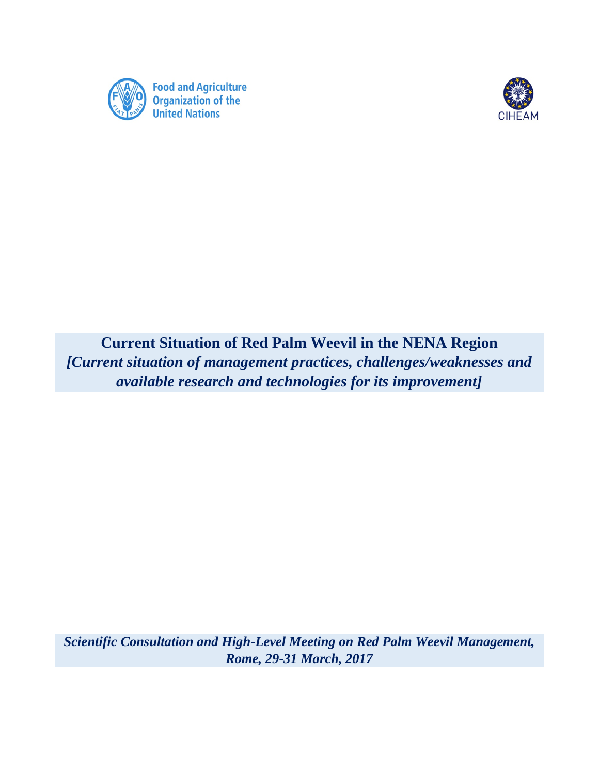



**Current Situation of Red Palm Weevil in the NENA Region** *[Current situation of management practices, challenges/weaknesses and available research and technologies for its improvement]*

*Scientific Consultation and High-Level Meeting on Red Palm Weevil Management, Rome, 29-31 March, 2017*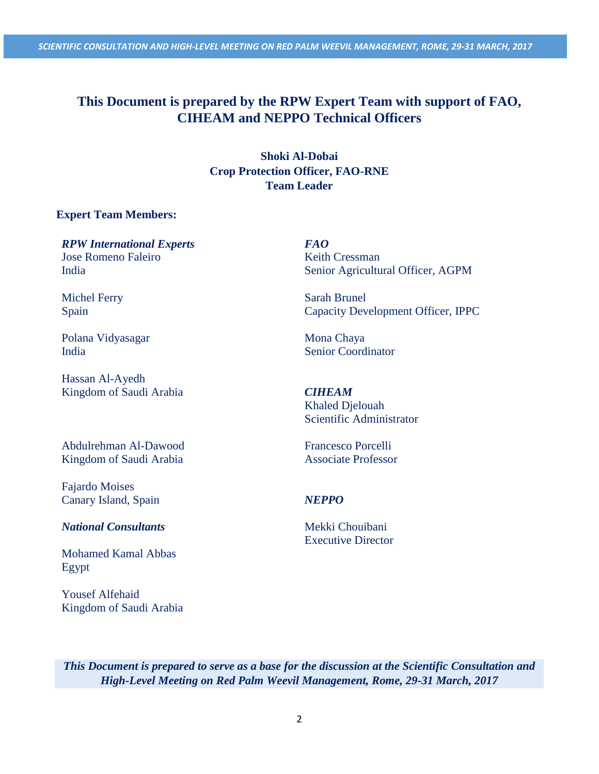*SCIENTIFIC CONSULTATION AND HIGH-LEVEL MEETING ON RED PALM WEEVIL MANAGEMENT, ROME, 29-31 MARCH, 2017*

# **This Document is prepared by the RPW Expert Team with support of FAO, CIHEAM and NEPPO Technical Officers**

**Shoki Al-Dobai Crop Protection Officer, FAO-RNE Team Leader**

## **Expert Team Members:**

*RPW International Experts FAO*  Jose Romeno Faleiro India

Michel Ferry Spain

Polana Vidyasagar India

Hassan Al-Ayedh Kingdom of Saudi Arabia *CIHEAM* 

Abdulrehman Al-Dawood Kingdom of Saudi Arabia

Fajardo Moises Canary Island, Spain *NEPPO* 

## *National Consultants* Mekki Chouibani

Mohamed Kamal Abbas Egypt

Yousef Alfehaid Kingdom of Saudi Arabia Keith Cressman Senior Agricultural Officer, AGPM

Sarah Brunel Capacity Development Officer, IPPC

Mona Chaya Senior Coordinator

Khaled Djelouah Scientific Administrator

Francesco Porcelli Associate Professor

Executive Director

*This Document is prepared to serve as a base for the discussion at the Scientific Consultation and High-Level Meeting on Red Palm Weevil Management, Rome, 29-31 March, 2017*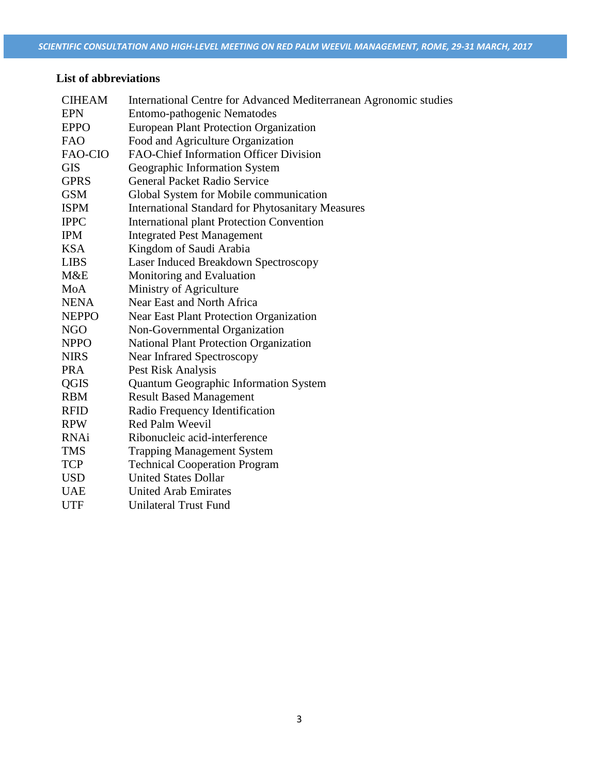# **List of abbreviations**

| <b>CIHEAM</b> | International Centre for Advanced Mediterranean Agronomic studies |
|---------------|-------------------------------------------------------------------|
| <b>EPN</b>    | Entomo-pathogenic Nematodes                                       |
| <b>EPPO</b>   | <b>European Plant Protection Organization</b>                     |
| <b>FAO</b>    | Food and Agriculture Organization                                 |
| FAO-CIO       | FAO-Chief Information Officer Division                            |
| <b>GIS</b>    | Geographic Information System                                     |
| <b>GPRS</b>   | <b>General Packet Radio Service</b>                               |
| <b>GSM</b>    | Global System for Mobile communication                            |
| <b>ISPM</b>   | <b>International Standard for Phytosanitary Measures</b>          |
| <b>IPPC</b>   | <b>International plant Protection Convention</b>                  |
| <b>IPM</b>    | <b>Integrated Pest Management</b>                                 |
| <b>KSA</b>    | Kingdom of Saudi Arabia                                           |
| <b>LIBS</b>   | Laser Induced Breakdown Spectroscopy                              |
| M&E           | Monitoring and Evaluation                                         |
| MoA           | Ministry of Agriculture                                           |
| <b>NENA</b>   | Near East and North Africa                                        |
| <b>NEPPO</b>  | Near East Plant Protection Organization                           |
| <b>NGO</b>    | Non-Governmental Organization                                     |
| <b>NPPO</b>   | <b>National Plant Protection Organization</b>                     |
| <b>NIRS</b>   | Near Infrared Spectroscopy                                        |
| <b>PRA</b>    | Pest Risk Analysis                                                |
| QGIS          | Quantum Geographic Information System                             |
| <b>RBM</b>    | <b>Result Based Management</b>                                    |
| <b>RFID</b>   | Radio Frequency Identification                                    |
| <b>RPW</b>    | <b>Red Palm Weevil</b>                                            |
| <b>RNAi</b>   | Ribonucleic acid-interference                                     |
| <b>TMS</b>    | <b>Trapping Management System</b>                                 |
| <b>TCP</b>    | <b>Technical Cooperation Program</b>                              |
| <b>USD</b>    | <b>United States Dollar</b>                                       |
| <b>UAE</b>    | <b>United Arab Emirates</b>                                       |
| <b>UTF</b>    | <b>Unilateral Trust Fund</b>                                      |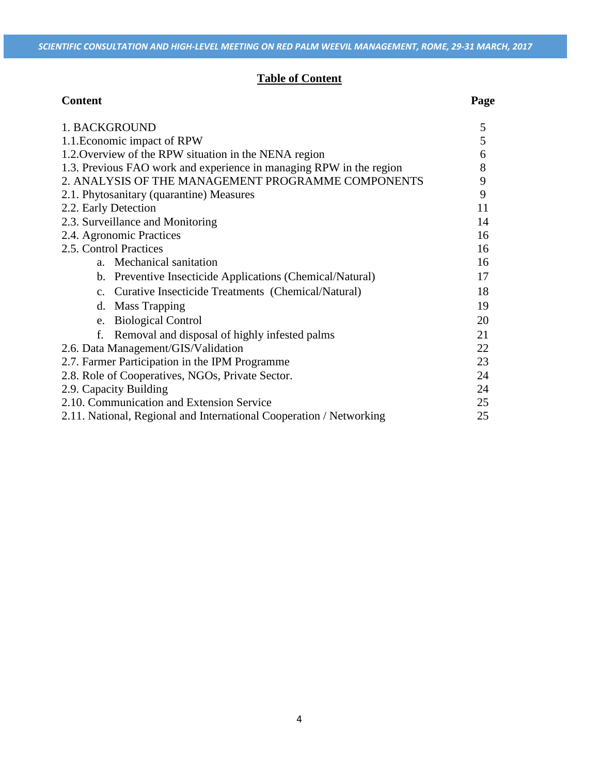## **Table of Content**

| <b>Content</b>                                                      | Page |
|---------------------------------------------------------------------|------|
| 1. BACKGROUND                                                       |      |
| 1.1. Economic impact of RPW                                         |      |
| 1.2. Overview of the RPW situation in the NENA region               |      |
| 1.3. Previous FAO work and experience in managing RPW in the region |      |
| 2. ANALYSIS OF THE MANAGEMENT PROGRAMME COMPONENTS                  |      |
| 2.1. Phytosanitary (quarantine) Measures                            |      |
| 2.2. Early Detection                                                |      |
| 2.3. Surveillance and Monitoring                                    |      |
| 2.4. Agronomic Practices                                            |      |
| 2.5. Control Practices                                              |      |
| a. Mechanical sanitation                                            | 16   |
| b. Preventive Insecticide Applications (Chemical/Natural)           | 17   |
| c. Curative Insecticide Treatments (Chemical/Natural)               | 18   |
| d. Mass Trapping                                                    | 19   |
| e. Biological Control                                               | 20   |
| Removal and disposal of highly infested palms<br>f.                 | 21   |
| 2.6. Data Management/GIS/Validation                                 |      |
| 2.7. Farmer Participation in the IPM Programme                      |      |
| 2.8. Role of Cooperatives, NGOs, Private Sector.                    |      |
| 2.9. Capacity Building                                              |      |
| 2.10. Communication and Extension Service                           |      |
| 2.11. National, Regional and International Cooperation / Networking |      |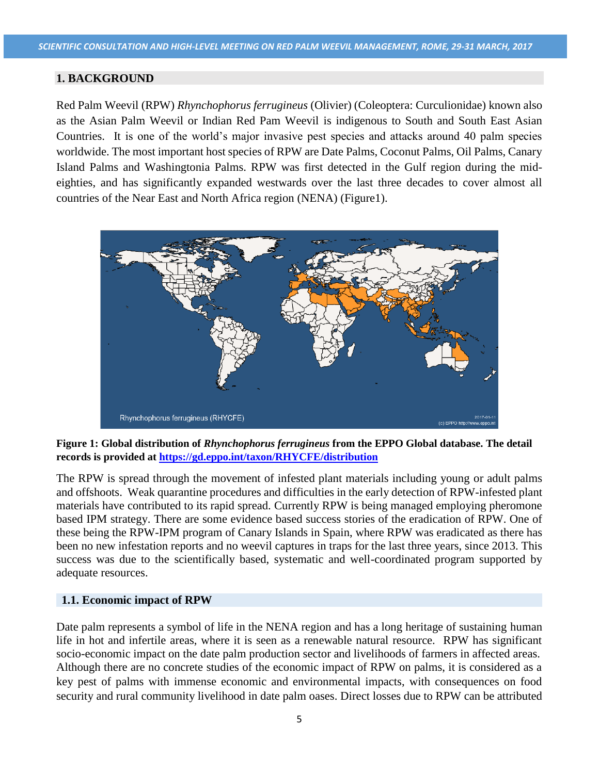#### **1. BACKGROUND**

Red Palm Weevil (RPW) *Rhynchophorus ferrugineus* (Olivier) (Coleoptera: Curculionidae) known also as the Asian Palm Weevil or Indian Red Pam Weevil is indigenous to South and South East Asian Countries. It is one of the world's major invasive pest species and attacks around 40 palm species worldwide. The most important host species of RPW are Date Palms, Coconut Palms, Oil Palms, Canary Island Palms and Washingtonia Palms. RPW was first detected in the Gulf region during the mideighties, and has significantly expanded westwards over the last three decades to cover almost all countries of the Near East and North Africa region (NENA) (Figure1).



**Figure 1: Global distribution of** *Rhynchophorus ferrugineus* **from the EPPO Global database. The detail records is provided at<https://gd.eppo.int/taxon/RHYCFE/distribution>**

The RPW is spread through the movement of infested plant materials including young or adult palms and offshoots. Weak quarantine procedures and difficulties in the early detection of RPW-infested plant materials have contributed to its rapid spread. Currently RPW is being managed employing pheromone based IPM strategy. There are some evidence based success stories of the eradication of RPW. One of these being the RPW-IPM program of Canary Islands in Spain, where RPW was eradicated as there has been no new infestation reports and no weevil captures in traps for the last three years, since 2013. This success was due to the scientifically based, systematic and well-coordinated program supported by adequate resources.

#### **1.1. Economic impact of RPW**

Date palm represents a symbol of life in the NENA region and has a long heritage of sustaining human life in hot and infertile areas, where it is seen as a renewable natural resource. RPW has significant socio-economic impact on the date palm production sector and livelihoods of farmers in affected areas. Although there are no concrete studies of the economic impact of RPW on palms, it is considered as a key pest of palms with immense economic and environmental impacts, with consequences on food security and rural community livelihood in date palm oases. Direct losses due to RPW can be attributed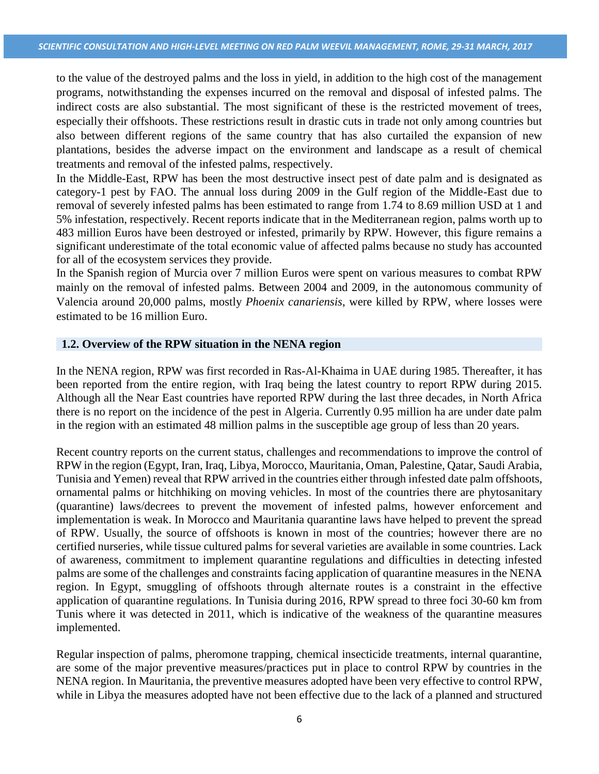to the value of the destroyed palms and the loss in yield, in addition to the high cost of the management programs, notwithstanding the expenses incurred on the removal and disposal of infested palms. The indirect costs are also substantial. The most significant of these is the restricted movement of trees, especially their offshoots. These restrictions result in drastic cuts in trade not only among countries but also between different regions of the same country that has also curtailed the expansion of new plantations, besides the adverse impact on the environment and landscape as a result of chemical treatments and removal of the infested palms, respectively.

In the Middle-East, RPW has been the most destructive insect pest of date palm and is designated as category-1 pest by FAO. The annual loss during 2009 in the Gulf region of the Middle-East due to removal of severely infested palms has been estimated to range from 1.74 to 8.69 million USD at 1 and 5% infestation, respectively. Recent reports indicate that in the Mediterranean region, palms worth up to 483 million Euros have been destroyed or infested, primarily by RPW. However, this figure remains a significant underestimate of the total economic value of affected palms because no study has accounted for all of the ecosystem services they provide.

In the Spanish region of Murcia over 7 million Euros were spent on various measures to combat RPW mainly on the removal of infested palms. Between 2004 and 2009, in the autonomous community of Valencia around 20,000 palms, mostly *Phoenix canariensis*, were killed by RPW, where losses were estimated to be 16 million Euro.

#### **1.2. Overview of the RPW situation in the NENA region**

In the NENA region, RPW was first recorded in Ras-Al-Khaima in UAE during 1985. Thereafter, it has been reported from the entire region, with Iraq being the latest country to report RPW during 2015. Although all the Near East countries have reported RPW during the last three decades, in North Africa there is no report on the incidence of the pest in Algeria. Currently 0.95 million ha are under date palm in the region with an estimated 48 million palms in the susceptible age group of less than 20 years.

Recent country reports on the current status, challenges and recommendations to improve the control of RPW in the region (Egypt, Iran, Iraq, Libya, Morocco, Mauritania, Oman, Palestine, Qatar, Saudi Arabia, Tunisia and Yemen) reveal that RPW arrived in the countries either through infested date palm offshoots, ornamental palms or hitchhiking on moving vehicles. In most of the countries there are phytosanitary (quarantine) laws/decrees to prevent the movement of infested palms, however enforcement and implementation is weak. In Morocco and Mauritania quarantine laws have helped to prevent the spread of RPW. Usually, the source of offshoots is known in most of the countries; however there are no certified nurseries, while tissue cultured palms for several varieties are available in some countries. Lack of awareness, commitment to implement quarantine regulations and difficulties in detecting infested palms are some of the challenges and constraints facing application of quarantine measures in the NENA region. In Egypt, smuggling of offshoots through alternate routes is a constraint in the effective application of quarantine regulations. In Tunisia during 2016, RPW spread to three foci 30-60 km from Tunis where it was detected in 2011, which is indicative of the weakness of the quarantine measures implemented.

Regular inspection of palms, pheromone trapping, chemical insecticide treatments, internal quarantine, are some of the major preventive measures/practices put in place to control RPW by countries in the NENA region. In Mauritania, the preventive measures adopted have been very effective to control RPW, while in Libya the measures adopted have not been effective due to the lack of a planned and structured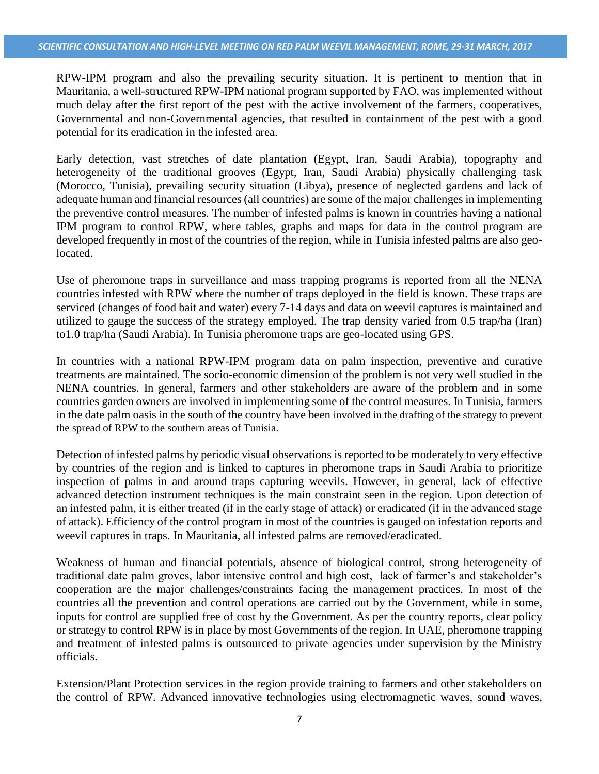RPW-IPM program and also the prevailing security situation. It is pertinent to mention that in Mauritania, a well-structured RPW-IPM national program supported by FAO, was implemented without much delay after the first report of the pest with the active involvement of the farmers, cooperatives, Governmental and non-Governmental agencies, that resulted in containment of the pest with a good potential for its eradication in the infested area.

Early detection, vast stretches of date plantation (Egypt, Iran, Saudi Arabia), topography and heterogeneity of the traditional grooves (Egypt, Iran, Saudi Arabia) physically challenging task (Morocco, Tunisia), prevailing security situation (Libya), presence of neglected gardens and lack of adequate human and financial resources (all countries) are some of the major challenges in implementing the preventive control measures. The number of infested palms is known in countries having a national IPM program to control RPW, where tables, graphs and maps for data in the control program are developed frequently in most of the countries of the region, while in Tunisia infested palms are also geolocated.

Use of pheromone traps in surveillance and mass trapping programs is reported from all the NENA countries infested with RPW where the number of traps deployed in the field is known. These traps are serviced (changes of food bait and water) every 7-14 days and data on weevil captures is maintained and utilized to gauge the success of the strategy employed. The trap density varied from 0.5 trap/ha (Iran) to1.0 trap/ha (Saudi Arabia). In Tunisia pheromone traps are geo-located using GPS.

In countries with a national RPW-IPM program data on palm inspection, preventive and curative treatments are maintained. The socio-economic dimension of the problem is not very well studied in the NENA countries. In general, farmers and other stakeholders are aware of the problem and in some countries garden owners are involved in implementing some of the control measures. In Tunisia, farmers in the date palm oasis in the south of the country have been involved in the drafting of the strategy to prevent the spread of RPW to the southern areas of Tunisia.

Detection of infested palms by periodic visual observations is reported to be moderately to very effective by countries of the region and is linked to captures in pheromone traps in Saudi Arabia to prioritize inspection of palms in and around traps capturing weevils. However, in general, lack of effective advanced detection instrument techniques is the main constraint seen in the region. Upon detection of an infested palm, it is either treated (if in the early stage of attack) or eradicated (if in the advanced stage of attack). Efficiency of the control program in most of the countries is gauged on infestation reports and weevil captures in traps. In Mauritania, all infested palms are removed/eradicated.

Weakness of human and financial potentials, absence of biological control, strong heterogeneity of traditional date palm groves, labor intensive control and high cost, lack of farmer's and stakeholder's cooperation are the major challenges/constraints facing the management practices. In most of the countries all the prevention and control operations are carried out by the Government, while in some, inputs for control are supplied free of cost by the Government. As per the country reports, clear policy or strategy to control RPW is in place by most Governments of the region. In UAE, pheromone trapping and treatment of infested palms is outsourced to private agencies under supervision by the Ministry officials.

Extension/Plant Protection services in the region provide training to farmers and other stakeholders on the control of RPW. Advanced innovative technologies using electromagnetic waves, sound waves,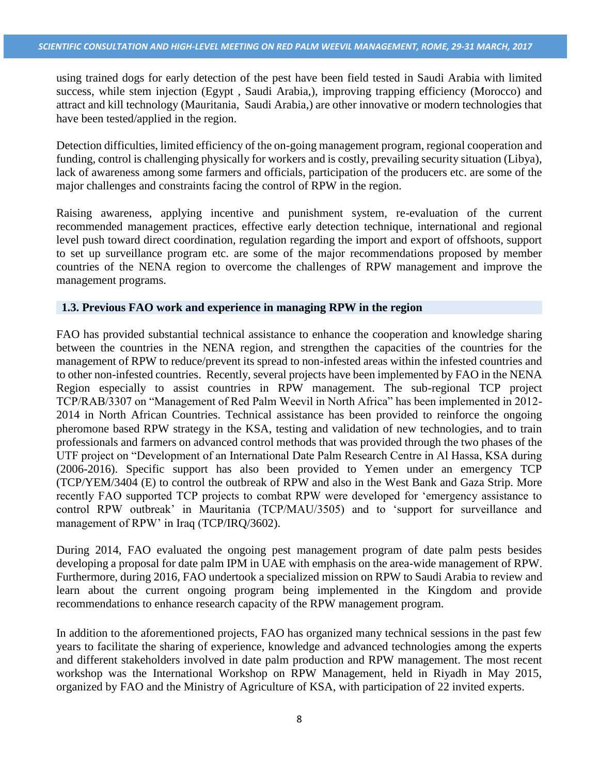using trained dogs for early detection of the pest have been field tested in Saudi Arabia with limited success, while stem injection (Egypt , Saudi Arabia,), improving trapping efficiency (Morocco) and attract and kill technology (Mauritania, Saudi Arabia,) are other innovative or modern technologies that have been tested/applied in the region.

Detection difficulties, limited efficiency of the on-going management program, regional cooperation and funding, control is challenging physically for workers and is costly, prevailing security situation (Libya), lack of awareness among some farmers and officials, participation of the producers etc. are some of the major challenges and constraints facing the control of RPW in the region.

Raising awareness, applying incentive and punishment system, re-evaluation of the current recommended management practices, effective early detection technique, international and regional level push toward direct coordination, regulation regarding the import and export of offshoots, support to set up surveillance program etc. are some of the major recommendations proposed by member countries of the NENA region to overcome the challenges of RPW management and improve the management programs.

#### **1.3. Previous FAO work and experience in managing RPW in the region**

FAO has provided substantial technical assistance to enhance the cooperation and knowledge sharing between the countries in the NENA region, and strengthen the capacities of the countries for the management of RPW to reduce/prevent its spread to non-infested areas within the infested countries and to other non-infested countries. Recently, several projects have been implemented by FAO in the NENA Region especially to assist countries in RPW management. The sub-regional TCP project TCP/RAB/3307 on "Management of Red Palm Weevil in North Africa" has been implemented in 2012- 2014 in North African Countries. Technical assistance has been provided to reinforce the ongoing pheromone based RPW strategy in the KSA, testing and validation of new technologies, and to train professionals and farmers on advanced control methods that was provided through the two phases of the UTF project on "Development of an International Date Palm Research Centre in Al Hassa, KSA during (2006-2016). Specific support has also been provided to Yemen under an emergency TCP (TCP/YEM/3404 (E) to control the outbreak of RPW and also in the West Bank and Gaza Strip. More recently FAO supported TCP projects to combat RPW were developed for 'emergency assistance to control RPW outbreak' in Mauritania (TCP/MAU/3505) and to 'support for surveillance and management of RPW' in Iraq (TCP/IRQ/3602).

During 2014, FAO evaluated the ongoing pest management program of date palm pests besides developing a proposal for date palm IPM in UAE with emphasis on the area-wide management of RPW. Furthermore, during 2016, FAO undertook a specialized mission on RPW to Saudi Arabia to review and learn about the current ongoing program being implemented in the Kingdom and provide recommendations to enhance research capacity of the RPW management program.

In addition to the aforementioned projects, FAO has organized many technical sessions in the past few years to facilitate the sharing of experience, knowledge and advanced technologies among the experts and different stakeholders involved in date palm production and RPW management. The most recent workshop was the International Workshop on RPW Management, held in Riyadh in May 2015, organized by FAO and the Ministry of Agriculture of KSA, with participation of 22 invited experts.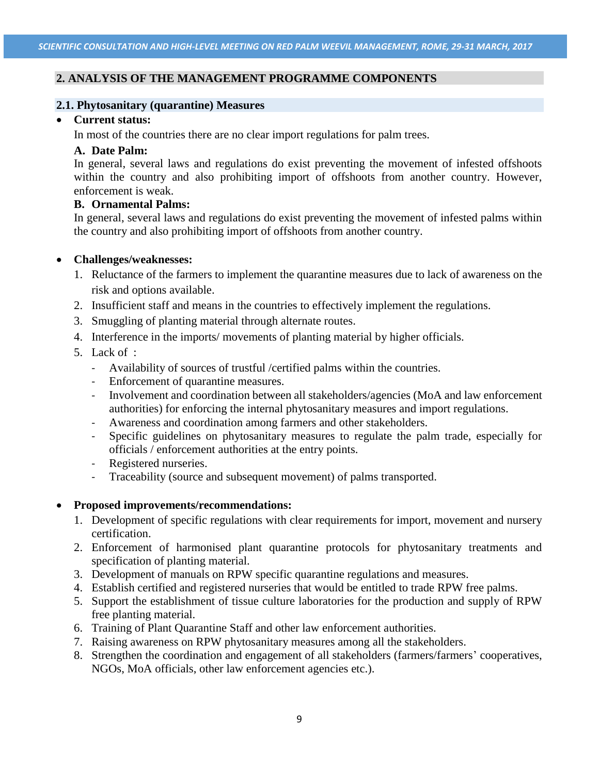## **2. ANALYSIS OF THE MANAGEMENT PROGRAMME COMPONENTS**

#### **2.1. Phytosanitary (quarantine) Measures**

#### **Current status:**

In most of the countries there are no clear import regulations for palm trees.

#### **A. Date Palm:**

In general, several laws and regulations do exist preventing the movement of infested offshoots within the country and also prohibiting import of offshoots from another country. However, enforcement is weak.

## **B. Ornamental Palms:**

In general, several laws and regulations do exist preventing the movement of infested palms within the country and also prohibiting import of offshoots from another country.

## **Challenges/weaknesses:**

- 1. Reluctance of the farmers to implement the quarantine measures due to lack of awareness on the risk and options available.
- 2. Insufficient staff and means in the countries to effectively implement the regulations.
- 3. Smuggling of planting material through alternate routes.
- 4. Interference in the imports/ movements of planting material by higher officials.
- 5. Lack of :
	- Availability of sources of trustful /certified palms within the countries.
	- Enforcement of quarantine measures.
	- Involvement and coordination between all stakeholders/agencies (MoA and law enforcement authorities) for enforcing the internal phytosanitary measures and import regulations.
	- Awareness and coordination among farmers and other stakeholders.
	- Specific guidelines on phytosanitary measures to regulate the palm trade, especially for officials / enforcement authorities at the entry points.
	- Registered nurseries.
	- Traceability (source and subsequent movement) of palms transported.

#### **Proposed improvements/recommendations:**

- 1. Development of specific regulations with clear requirements for import, movement and nursery certification.
- 2. Enforcement of harmonised plant quarantine protocols for phytosanitary treatments and specification of planting material.
- 3. Development of manuals on RPW specific quarantine regulations and measures.
- 4. Establish certified and registered nurseries that would be entitled to trade RPW free palms.
- 5. Support the establishment of tissue culture laboratories for the production and supply of RPW free planting material.
- 6. Training of Plant Quarantine Staff and other law enforcement authorities.
- 7. Raising awareness on RPW phytosanitary measures among all the stakeholders.
- 8. Strengthen the coordination and engagement of all stakeholders (farmers/farmers' cooperatives, NGOs, MoA officials, other law enforcement agencies etc.).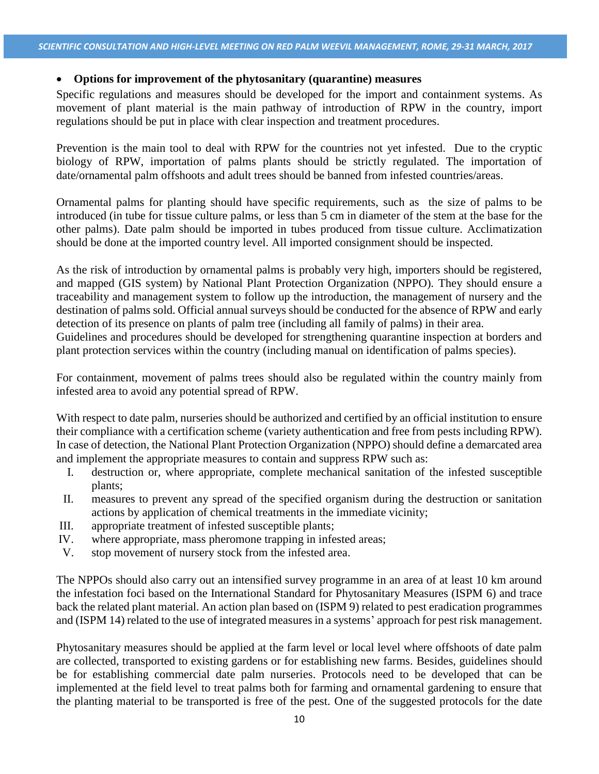### **Options for improvement of the phytosanitary (quarantine) measures**

Specific regulations and measures should be developed for the import and containment systems. As movement of plant material is the main pathway of introduction of RPW in the country, import regulations should be put in place with clear inspection and treatment procedures.

Prevention is the main tool to deal with RPW for the countries not yet infested. Due to the cryptic biology of RPW, importation of palms plants should be strictly regulated. The importation of date/ornamental palm offshoots and adult trees should be banned from infested countries/areas.

Ornamental palms for planting should have specific requirements, such as the size of palms to be introduced (in tube for tissue culture palms, or less than 5 cm in diameter of the stem at the base for the other palms). Date palm should be imported in tubes produced from tissue culture. Acclimatization should be done at the imported country level. All imported consignment should be inspected.

As the risk of introduction by ornamental palms is probably very high, importers should be registered, and mapped (GIS system) by National Plant Protection Organization (NPPO). They should ensure a traceability and management system to follow up the introduction, the management of nursery and the destination of palms sold. Official annual surveys should be conducted for the absence of RPW and early detection of its presence on plants of palm tree (including all family of palms) in their area.

Guidelines and procedures should be developed for strengthening quarantine inspection at borders and plant protection services within the country (including manual on identification of palms species).

For containment, movement of palms trees should also be regulated within the country mainly from infested area to avoid any potential spread of RPW.

With respect to date palm, nurseries should be authorized and certified by an official institution to ensure their compliance with a certification scheme (variety authentication and free from pests including RPW). In case of detection, the National Plant Protection Organization (NPPO) should define a demarcated area and implement the appropriate measures to contain and suppress RPW such as:

- I. destruction or, where appropriate, complete mechanical sanitation of the infested susceptible plants;
- II. measures to prevent any spread of the specified organism during the destruction or sanitation actions by application of chemical treatments in the immediate vicinity;
- III. appropriate treatment of infested susceptible plants;
- IV. where appropriate, mass pheromone trapping in infested areas;
- V. stop movement of nursery stock from the infested area.

The NPPOs should also carry out an intensified survey programme in an area of at least 10 km around the infestation foci based on the International Standard for Phytosanitary Measures (ISPM 6) and trace back the related plant material. An action plan based on (ISPM 9) related to pest eradication programmes and (ISPM 14) related to the use of integrated measures in a systems' approach for pest risk management.

Phytosanitary measures should be applied at the farm level or local level where offshoots of date palm are collected, transported to existing gardens or for establishing new farms. Besides, guidelines should be for establishing commercial date palm nurseries. Protocols need to be developed that can be implemented at the field level to treat palms both for farming and ornamental gardening to ensure that the planting material to be transported is free of the pest. One of the suggested protocols for the date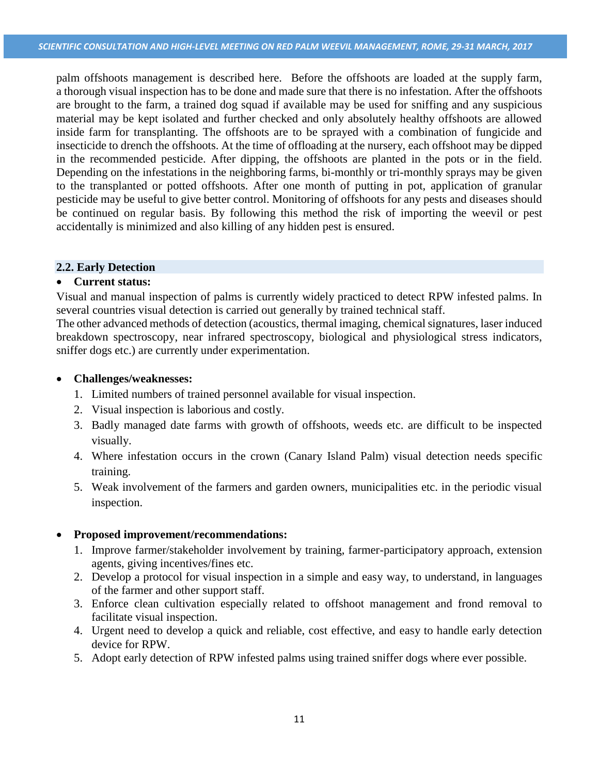palm offshoots management is described here. Before the offshoots are loaded at the supply farm, a thorough visual inspection has to be done and made sure that there is no infestation. After the offshoots are brought to the farm, a trained dog squad if available may be used for sniffing and any suspicious material may be kept isolated and further checked and only absolutely healthy offshoots are allowed inside farm for transplanting. The offshoots are to be sprayed with a combination of fungicide and insecticide to drench the offshoots. At the time of offloading at the nursery, each offshoot may be dipped in the recommended pesticide. After dipping, the offshoots are planted in the pots or in the field. Depending on the infestations in the neighboring farms, bi-monthly or tri-monthly sprays may be given to the transplanted or potted offshoots. After one month of putting in pot, application of granular pesticide may be useful to give better control. Monitoring of offshoots for any pests and diseases should be continued on regular basis. By following this method the risk of importing the weevil or pest accidentally is minimized and also killing of any hidden pest is ensured.

## **2.2. Early Detection**

## **Current status:**

Visual and manual inspection of palms is currently widely practiced to detect RPW infested palms. In several countries visual detection is carried out generally by trained technical staff.

The other advanced methods of detection (acoustics, thermal imaging, chemical signatures, laser induced breakdown spectroscopy, near infrared spectroscopy, biological and physiological stress indicators, sniffer dogs etc.) are currently under experimentation.

## **Challenges/weaknesses:**

- 1. Limited numbers of trained personnel available for visual inspection.
- 2. Visual inspection is laborious and costly.
- 3. Badly managed date farms with growth of offshoots, weeds etc. are difficult to be inspected visually.
- 4. Where infestation occurs in the crown (Canary Island Palm) visual detection needs specific training.
- 5. Weak involvement of the farmers and garden owners, municipalities etc. in the periodic visual inspection.

## **Proposed improvement/recommendations:**

- 1. Improve farmer/stakeholder involvement by training, farmer-participatory approach, extension agents, giving incentives/fines etc.
- 2. Develop a protocol for visual inspection in a simple and easy way, to understand, in languages of the farmer and other support staff.
- 3. Enforce clean cultivation especially related to offshoot management and frond removal to facilitate visual inspection.
- 4. Urgent need to develop a quick and reliable, cost effective, and easy to handle early detection device for RPW.
- 5. Adopt early detection of RPW infested palms using trained sniffer dogs where ever possible.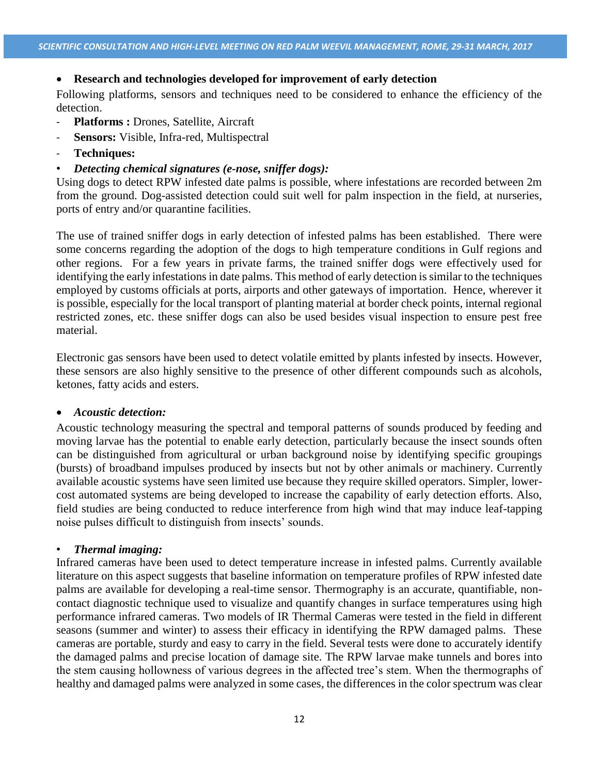## **Research and technologies developed for improvement of early detection**

Following platforms, sensors and techniques need to be considered to enhance the efficiency of the detection.

- **Platforms :** Drones, Satellite, Aircraft
- Sensors: Visible, Infra-red, Multispectral
- **Techniques:**
- *Detecting chemical signatures (e-nose, sniffer dogs):*

Using dogs to detect RPW infested date palms is possible, where infestations are recorded between 2m from the ground. Dog-assisted detection could suit well for palm inspection in the field, at nurseries, ports of entry and/or quarantine facilities.

The use of trained sniffer dogs in early detection of infested palms has been established. There were some concerns regarding the adoption of the dogs to high temperature conditions in Gulf regions and other regions. For a few years in private farms, the trained sniffer dogs were effectively used for identifying the early infestations in date palms. This method of early detection is similar to the techniques employed by customs officials at ports, airports and other gateways of importation. Hence, wherever it is possible, especially for the local transport of planting material at border check points, internal regional restricted zones, etc. these sniffer dogs can also be used besides visual inspection to ensure pest free material.

Electronic gas sensors have been used to detect volatile emitted by plants infested by insects. However, these sensors are also highly sensitive to the presence of other different compounds such as alcohols, ketones, fatty acids and esters.

#### *Acoustic detection:*

Acoustic technology measuring the spectral and temporal patterns of sounds produced by feeding and moving larvae has the potential to enable early detection, particularly because the insect sounds often can be distinguished from agricultural or urban background noise by identifying specific groupings (bursts) of broadband impulses produced by insects but not by other animals or machinery. Currently available acoustic systems have seen limited use because they require skilled operators. Simpler, lowercost automated systems are being developed to increase the capability of early detection efforts. Also, field studies are being conducted to reduce interference from high wind that may induce leaf-tapping noise pulses difficult to distinguish from insects' sounds.

#### • *Thermal imaging:*

Infrared cameras have been used to detect temperature increase in infested palms. Currently available literature on this aspect suggests that baseline information on temperature profiles of RPW infested date palms are available for developing a real-time sensor. Thermography is an accurate, quantifiable, noncontact diagnostic technique used to visualize and quantify changes in surface temperatures using high performance infrared cameras. Two models of IR Thermal Cameras were tested in the field in different seasons (summer and winter) to assess their efficacy in identifying the RPW damaged palms. These cameras are portable, sturdy and easy to carry in the field. Several tests were done to accurately identify the damaged palms and precise location of damage site. The RPW larvae make tunnels and bores into the stem causing hollowness of various degrees in the affected tree's stem. When the thermographs of healthy and damaged palms were analyzed in some cases, the differences in the color spectrum was clear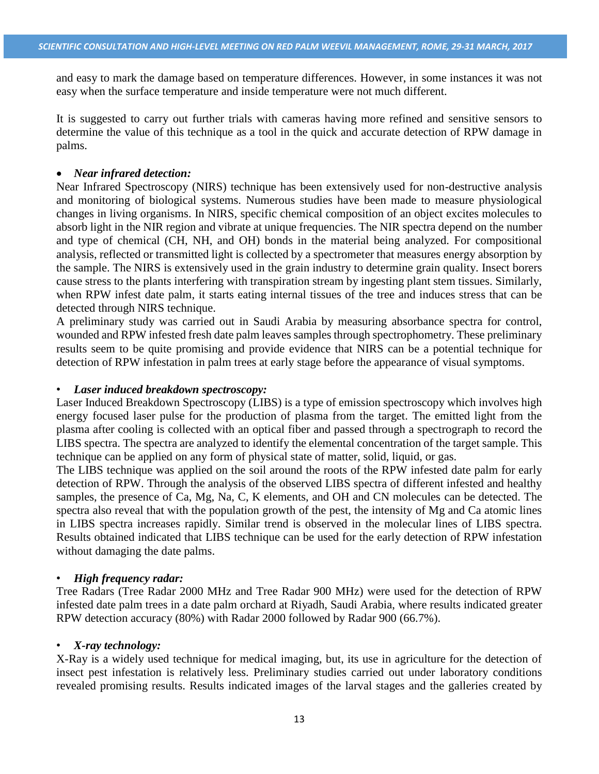and easy to mark the damage based on temperature differences. However, in some instances it was not easy when the surface temperature and inside temperature were not much different.

It is suggested to carry out further trials with cameras having more refined and sensitive sensors to determine the value of this technique as a tool in the quick and accurate detection of RPW damage in palms.

## *Near infrared detection:*

Near Infrared Spectroscopy (NIRS) technique has been extensively used for non-destructive analysis and monitoring of biological systems. Numerous studies have been made to measure physiological changes in living organisms. In NIRS, specific chemical composition of an object excites molecules to absorb light in the NIR region and vibrate at unique frequencies. The NIR spectra depend on the number and type of chemical (CH, NH, and OH) bonds in the material being analyzed. For compositional analysis, reflected or transmitted light is collected by a spectrometer that measures energy absorption by the sample. The NIRS is extensively used in the grain industry to determine grain quality. Insect borers cause stress to the plants interfering with transpiration stream by ingesting plant stem tissues. Similarly, when RPW infest date palm, it starts eating internal tissues of the tree and induces stress that can be detected through NIRS technique.

A preliminary study was carried out in Saudi Arabia by measuring absorbance spectra for control, wounded and RPW infested fresh date palm leaves samples through spectrophometry. These preliminary results seem to be quite promising and provide evidence that NIRS can be a potential technique for detection of RPW infestation in palm trees at early stage before the appearance of visual symptoms.

## • *Laser induced breakdown spectroscopy:*

Laser Induced Breakdown Spectroscopy (LIBS) is a type of emission spectroscopy which involves high energy focused laser pulse for the production of plasma from the target. The emitted light from the plasma after cooling is collected with an optical fiber and passed through a spectrograph to record the LIBS spectra. The spectra are analyzed to identify the elemental concentration of the target sample. This technique can be applied on any form of physical state of matter, solid, liquid, or gas.

The LIBS technique was applied on the soil around the roots of the RPW infested date palm for early detection of RPW. Through the analysis of the observed LIBS spectra of different infested and healthy samples, the presence of Ca, Mg, Na, C, K elements, and OH and CN molecules can be detected. The spectra also reveal that with the population growth of the pest, the intensity of Mg and Ca atomic lines in LIBS spectra increases rapidly. Similar trend is observed in the molecular lines of LIBS spectra. Results obtained indicated that LIBS technique can be used for the early detection of RPW infestation without damaging the date palms.

#### • *High frequency radar:*

Tree Radars (Tree Radar 2000 MHz and Tree Radar 900 MHz) were used for the detection of RPW infested date palm trees in a date palm orchard at Riyadh, Saudi Arabia, where results indicated greater RPW detection accuracy (80%) with Radar 2000 followed by Radar 900 (66.7%).

#### • *X-ray technology:*

X-Ray is a widely used technique for medical imaging, but, its use in agriculture for the detection of insect pest infestation is relatively less. Preliminary studies carried out under laboratory conditions revealed promising results. Results indicated images of the larval stages and the galleries created by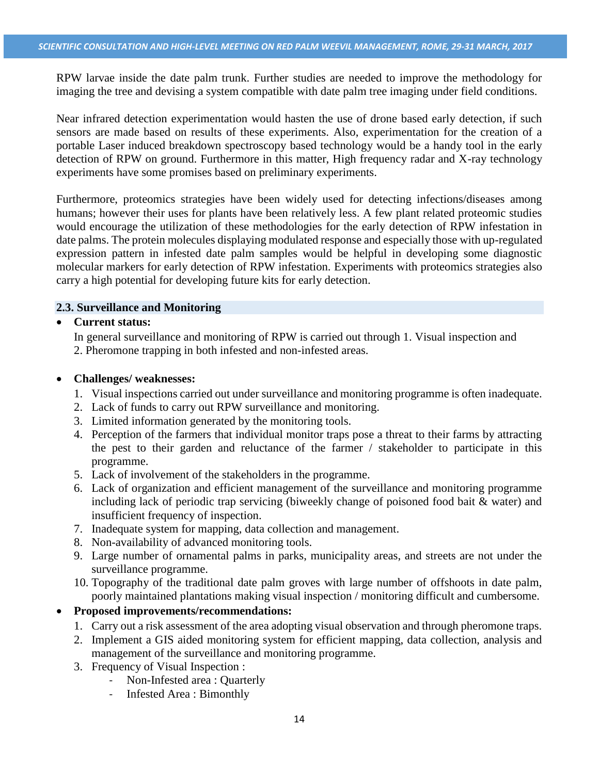RPW larvae inside the date palm trunk. Further studies are needed to improve the methodology for imaging the tree and devising a system compatible with date palm tree imaging under field conditions.

Near infrared detection experimentation would hasten the use of drone based early detection, if such sensors are made based on results of these experiments. Also, experimentation for the creation of a portable Laser induced breakdown spectroscopy based technology would be a handy tool in the early detection of RPW on ground. Furthermore in this matter, High frequency radar and X-ray technology experiments have some promises based on preliminary experiments.

Furthermore, proteomics strategies have been widely used for detecting infections/diseases among humans; however their uses for plants have been relatively less. A few plant related proteomic studies would encourage the utilization of these methodologies for the early detection of RPW infestation in date palms. The protein molecules displaying modulated response and especially those with up-regulated expression pattern in infested date palm samples would be helpful in developing some diagnostic molecular markers for early detection of RPW infestation. Experiments with proteomics strategies also carry a high potential for developing future kits for early detection.

## **2.3. Surveillance and Monitoring**

## **Current status:**

In general surveillance and monitoring of RPW is carried out through 1. Visual inspection and 2. Pheromone trapping in both infested and non-infested areas.

#### **Challenges/ weaknesses:**

- 1. Visual inspections carried out under surveillance and monitoring programme is often inadequate.
- 2. Lack of funds to carry out RPW surveillance and monitoring.
- 3. Limited information generated by the monitoring tools.
- 4. Perception of the farmers that individual monitor traps pose a threat to their farms by attracting the pest to their garden and reluctance of the farmer / stakeholder to participate in this programme.
- 5. Lack of involvement of the stakeholders in the programme.
- 6. Lack of organization and efficient management of the surveillance and monitoring programme including lack of periodic trap servicing (biweekly change of poisoned food bait & water) and insufficient frequency of inspection.
- 7. Inadequate system for mapping, data collection and management.
- 8. Non-availability of advanced monitoring tools.
- 9. Large number of ornamental palms in parks, municipality areas, and streets are not under the surveillance programme.
- 10. Topography of the traditional date palm groves with large number of offshoots in date palm, poorly maintained plantations making visual inspection / monitoring difficult and cumbersome.

## **Proposed improvements/recommendations:**

- 1. Carry out a risk assessment of the area adopting visual observation and through pheromone traps.
- 2. Implement a GIS aided monitoring system for efficient mapping, data collection, analysis and management of the surveillance and monitoring programme.
- 3. Frequency of Visual Inspection :
	- Non-Infested area : Quarterly
	- Infested Area : Bimonthly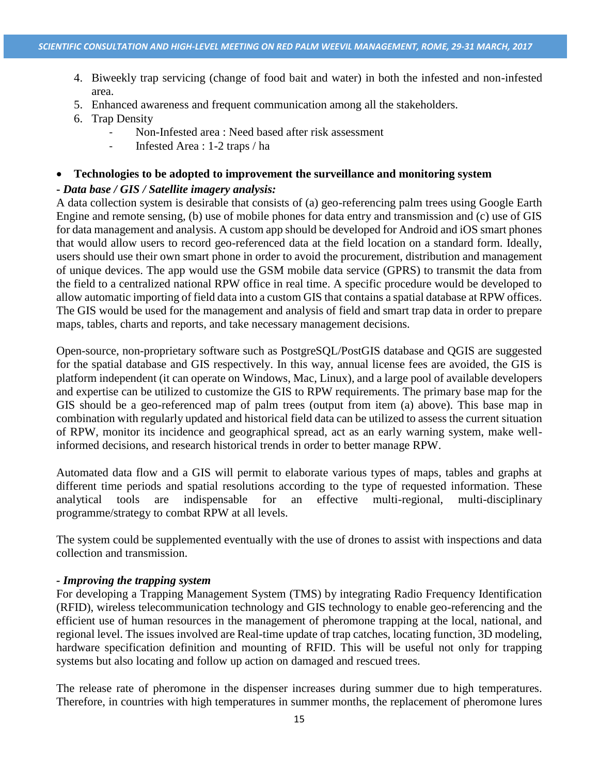- 4. Biweekly trap servicing (change of food bait and water) in both the infested and non-infested area.
- 5. Enhanced awareness and frequent communication among all the stakeholders.
- 6. Trap Density
	- Non-Infested area : Need based after risk assessment
	- Infested Area : 1-2 traps / ha

#### **Technologies to be adopted to improvement the surveillance and monitoring system**

### **-** *Data base / GIS / Satellite imagery analysis:*

A data collection system is desirable that consists of (a) geo-referencing palm trees using Google Earth Engine and remote sensing, (b) use of mobile phones for data entry and transmission and (c) use of GIS for data management and analysis. A custom app should be developed for Android and iOS smart phones that would allow users to record geo-referenced data at the field location on a standard form. Ideally, users should use their own smart phone in order to avoid the procurement, distribution and management of unique devices. The app would use the GSM mobile data service (GPRS) to transmit the data from the field to a centralized national RPW office in real time. A specific procedure would be developed to allow automatic importing of field data into a custom GIS that contains a spatial database at RPW offices. The GIS would be used for the management and analysis of field and smart trap data in order to prepare maps, tables, charts and reports, and take necessary management decisions.

Open-source, non-proprietary software such as PostgreSQL/PostGIS database and QGIS are suggested for the spatial database and GIS respectively. In this way, annual license fees are avoided, the GIS is platform independent (it can operate on Windows, Mac, Linux), and a large pool of available developers and expertise can be utilized to customize the GIS to RPW requirements. The primary base map for the GIS should be a geo-referenced map of palm trees (output from item (a) above). This base map in combination with regularly updated and historical field data can be utilized to assess the current situation of RPW, monitor its incidence and geographical spread, act as an early warning system, make wellinformed decisions, and research historical trends in order to better manage RPW.

Automated data flow and a GIS will permit to elaborate various types of maps, tables and graphs at different time periods and spatial resolutions according to the type of requested information. These analytical tools are indispensable for an effective multi-regional, multi-disciplinary programme/strategy to combat RPW at all levels.

The system could be supplemented eventually with the use of drones to assist with inspections and data collection and transmission.

#### *- Improving the trapping system*

For developing a Trapping Management System (TMS) by integrating Radio Frequency Identification (RFID), wireless telecommunication technology and GIS technology to enable geo-referencing and the efficient use of human resources in the management of pheromone trapping at the local, national, and regional level. The issues involved are Real-time update of trap catches, locating function, 3D modeling, hardware specification definition and mounting of RFID. This will be useful not only for trapping systems but also locating and follow up action on damaged and rescued trees.

The release rate of pheromone in the dispenser increases during summer due to high temperatures. Therefore, in countries with high temperatures in summer months, the replacement of pheromone lures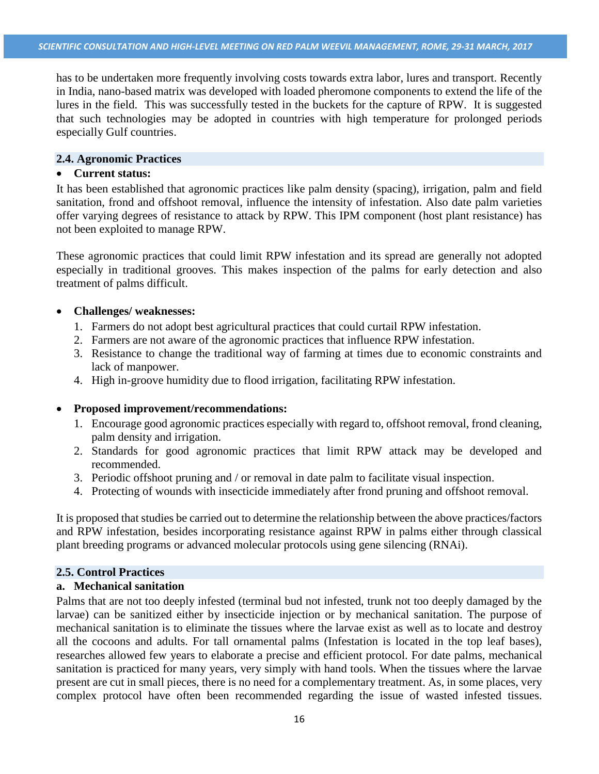has to be undertaken more frequently involving costs towards extra labor, lures and transport. Recently in India, nano-based matrix was developed with loaded pheromone components to extend the life of the lures in the field. This was successfully tested in the buckets for the capture of RPW. It is suggested that such technologies may be adopted in countries with high temperature for prolonged periods especially Gulf countries.

## **2.4. Agronomic Practices**

## **Current status:**

It has been established that agronomic practices like palm density (spacing), irrigation, palm and field sanitation, frond and offshoot removal, influence the intensity of infestation. Also date palm varieties offer varying degrees of resistance to attack by RPW. This IPM component (host plant resistance) has not been exploited to manage RPW.

These agronomic practices that could limit RPW infestation and its spread are generally not adopted especially in traditional grooves. This makes inspection of the palms for early detection and also treatment of palms difficult.

## **Challenges/ weaknesses:**

- 1. Farmers do not adopt best agricultural practices that could curtail RPW infestation.
- 2. Farmers are not aware of the agronomic practices that influence RPW infestation.
- 3. Resistance to change the traditional way of farming at times due to economic constraints and lack of manpower.
- 4. High in-groove humidity due to flood irrigation, facilitating RPW infestation.

## **Proposed improvement/recommendations:**

- 1. Encourage good agronomic practices especially with regard to, offshoot removal, frond cleaning, palm density and irrigation.
- 2. Standards for good agronomic practices that limit RPW attack may be developed and recommended.
- 3. Periodic offshoot pruning and / or removal in date palm to facilitate visual inspection.
- 4. Protecting of wounds with insecticide immediately after frond pruning and offshoot removal.

It is proposed that studies be carried out to determine the relationship between the above practices/factors and RPW infestation, besides incorporating resistance against RPW in palms either through classical plant breeding programs or advanced molecular protocols using gene silencing (RNAi).

## **2.5. Control Practices**

#### **a. Mechanical sanitation**

Palms that are not too deeply infested (terminal bud not infested, trunk not too deeply damaged by the larvae) can be sanitized either by insecticide injection or by mechanical sanitation. The purpose of mechanical sanitation is to eliminate the tissues where the larvae exist as well as to locate and destroy all the cocoons and adults. For tall ornamental palms (Infestation is located in the top leaf bases), researches allowed few years to elaborate a precise and efficient protocol. For date palms, mechanical sanitation is practiced for many years, very simply with hand tools. When the tissues where the larvae present are cut in small pieces, there is no need for a complementary treatment. As, in some places, very complex protocol have often been recommended regarding the issue of wasted infested tissues.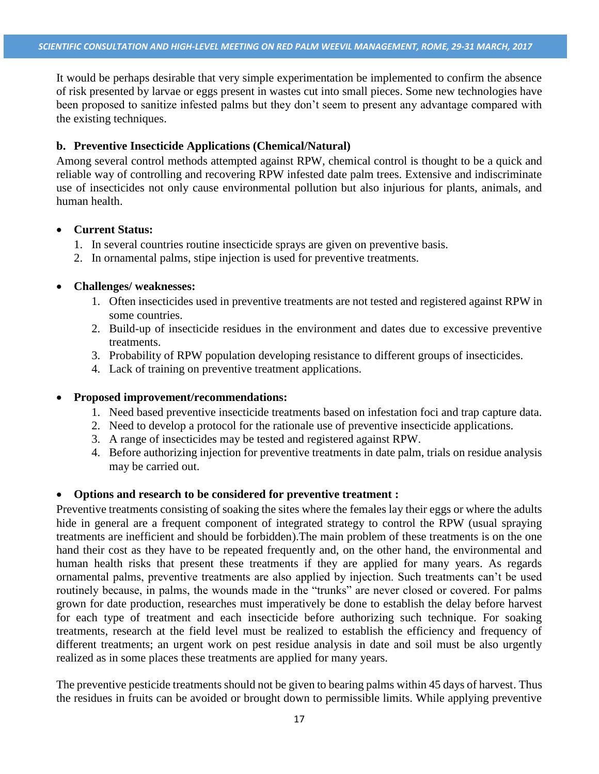It would be perhaps desirable that very simple experimentation be implemented to confirm the absence of risk presented by larvae or eggs present in wastes cut into small pieces. Some new technologies have been proposed to sanitize infested palms but they don't seem to present any advantage compared with the existing techniques.

## **b. Preventive Insecticide Applications (Chemical/Natural)**

Among several control methods attempted against RPW, chemical control is thought to be a quick and reliable way of controlling and recovering RPW infested date palm trees. Extensive and indiscriminate use of insecticides not only cause environmental pollution but also injurious for plants, animals, and human health.

#### **Current Status:**

- 1. In several countries routine insecticide sprays are given on preventive basis.
- 2. In ornamental palms, stipe injection is used for preventive treatments.

## **Challenges/ weaknesses:**

- 1. Often insecticides used in preventive treatments are not tested and registered against RPW in some countries.
- 2. Build-up of insecticide residues in the environment and dates due to excessive preventive treatments.
- 3. Probability of RPW population developing resistance to different groups of insecticides.
- 4. Lack of training on preventive treatment applications.

#### **Proposed improvement/recommendations:**

- 1. Need based preventive insecticide treatments based on infestation foci and trap capture data.
- 2. Need to develop a protocol for the rationale use of preventive insecticide applications.
- 3. A range of insecticides may be tested and registered against RPW.
- 4. Before authorizing injection for preventive treatments in date palm, trials on residue analysis may be carried out.

#### **Options and research to be considered for preventive treatment :**

Preventive treatments consisting of soaking the sites where the females lay their eggs or where the adults hide in general are a frequent component of integrated strategy to control the RPW (usual spraying treatments are inefficient and should be forbidden).The main problem of these treatments is on the one hand their cost as they have to be repeated frequently and, on the other hand, the environmental and human health risks that present these treatments if they are applied for many years. As regards ornamental palms, preventive treatments are also applied by injection. Such treatments can't be used routinely because, in palms, the wounds made in the "trunks" are never closed or covered. For palms grown for date production, researches must imperatively be done to establish the delay before harvest for each type of treatment and each insecticide before authorizing such technique. For soaking treatments, research at the field level must be realized to establish the efficiency and frequency of different treatments; an urgent work on pest residue analysis in date and soil must be also urgently realized as in some places these treatments are applied for many years.

The preventive pesticide treatments should not be given to bearing palms within 45 days of harvest. Thus the residues in fruits can be avoided or brought down to permissible limits. While applying preventive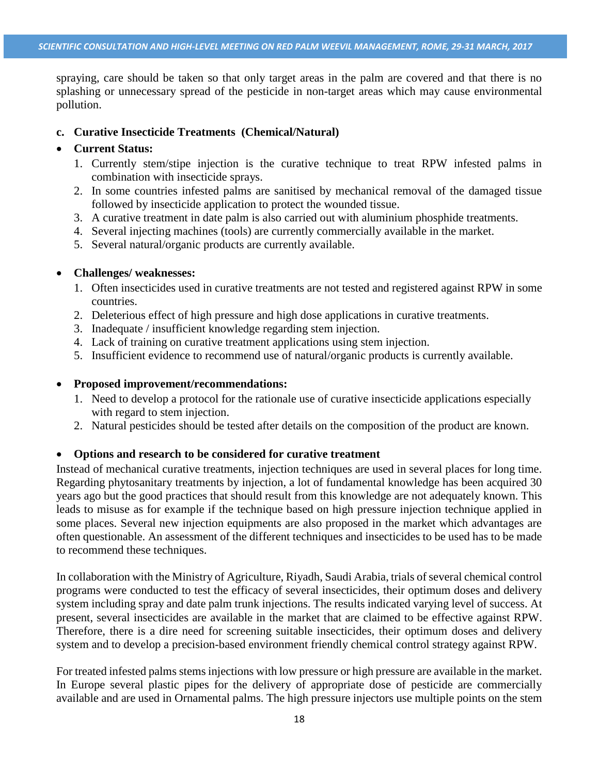spraying, care should be taken so that only target areas in the palm are covered and that there is no splashing or unnecessary spread of the pesticide in non-target areas which may cause environmental pollution.

#### **c. Curative Insecticide Treatments (Chemical/Natural)**

#### **Current Status:**

- 1. Currently stem/stipe injection is the curative technique to treat RPW infested palms in combination with insecticide sprays.
- 2. In some countries infested palms are sanitised by mechanical removal of the damaged tissue followed by insecticide application to protect the wounded tissue.
- 3. A curative treatment in date palm is also carried out with aluminium phosphide treatments.
- 4. Several injecting machines (tools) are currently commercially available in the market.
- 5. Several natural/organic products are currently available.

#### **Challenges/ weaknesses:**

- 1. Often insecticides used in curative treatments are not tested and registered against RPW in some countries.
- 2. Deleterious effect of high pressure and high dose applications in curative treatments.
- 3. Inadequate / insufficient knowledge regarding stem injection.
- 4. Lack of training on curative treatment applications using stem injection.
- 5. Insufficient evidence to recommend use of natural/organic products is currently available.

#### **Proposed improvement/recommendations:**

- 1. Need to develop a protocol for the rationale use of curative insecticide applications especially with regard to stem injection.
- 2. Natural pesticides should be tested after details on the composition of the product are known.

#### **Options and research to be considered for curative treatment**

Instead of mechanical curative treatments, injection techniques are used in several places for long time. Regarding phytosanitary treatments by injection, a lot of fundamental knowledge has been acquired 30 years ago but the good practices that should result from this knowledge are not adequately known. This leads to misuse as for example if the technique based on high pressure injection technique applied in some places. Several new injection equipments are also proposed in the market which advantages are often questionable. An assessment of the different techniques and insecticides to be used has to be made to recommend these techniques.

In collaboration with the Ministry of Agriculture, Riyadh, Saudi Arabia, trials of several chemical control programs were conducted to test the efficacy of several insecticides, their optimum doses and delivery system including spray and date palm trunk injections. The results indicated varying level of success. At present, several insecticides are available in the market that are claimed to be effective against RPW. Therefore, there is a dire need for screening suitable insecticides, their optimum doses and delivery system and to develop a precision-based environment friendly chemical control strategy against RPW.

For treated infested palms stems injections with low pressure or high pressure are available in the market. In Europe several plastic pipes for the delivery of appropriate dose of pesticide are commercially available and are used in Ornamental palms. The high pressure injectors use multiple points on the stem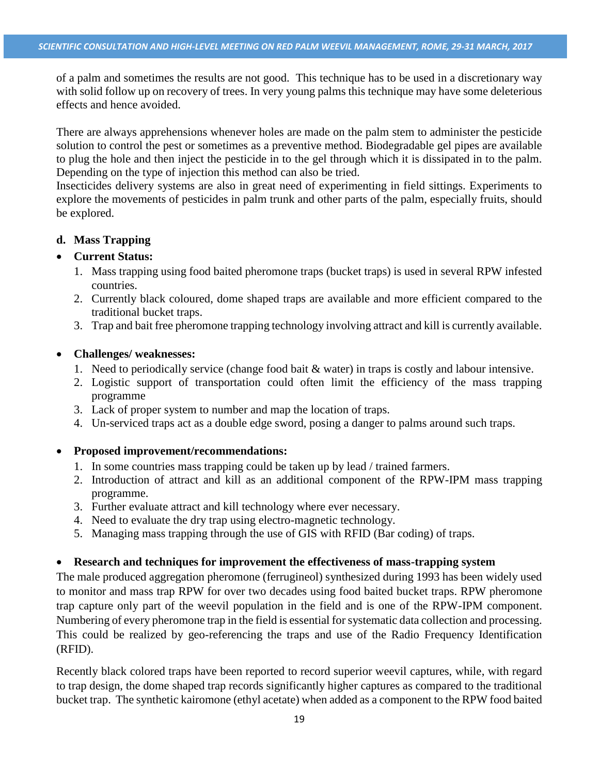of a palm and sometimes the results are not good. This technique has to be used in a discretionary way with solid follow up on recovery of trees. In very young palms this technique may have some deleterious effects and hence avoided.

There are always apprehensions whenever holes are made on the palm stem to administer the pesticide solution to control the pest or sometimes as a preventive method. Biodegradable gel pipes are available to plug the hole and then inject the pesticide in to the gel through which it is dissipated in to the palm. Depending on the type of injection this method can also be tried.

Insecticides delivery systems are also in great need of experimenting in field sittings. Experiments to explore the movements of pesticides in palm trunk and other parts of the palm, especially fruits, should be explored.

## **d. Mass Trapping**

## **Current Status:**

- 1. Mass trapping using food baited pheromone traps (bucket traps) is used in several RPW infested countries.
- 2. Currently black coloured, dome shaped traps are available and more efficient compared to the traditional bucket traps.
- 3. Trap and bait free pheromone trapping technology involving attract and kill is currently available.

## **Challenges/ weaknesses:**

- 1. Need to periodically service (change food bait & water) in traps is costly and labour intensive.
- 2. Logistic support of transportation could often limit the efficiency of the mass trapping programme
- 3. Lack of proper system to number and map the location of traps.
- 4. Un-serviced traps act as a double edge sword, posing a danger to palms around such traps.

## **Proposed improvement/recommendations:**

- 1. In some countries mass trapping could be taken up by lead / trained farmers.
- 2. Introduction of attract and kill as an additional component of the RPW-IPM mass trapping programme.
- 3. Further evaluate attract and kill technology where ever necessary.
- 4. Need to evaluate the dry trap using electro-magnetic technology.
- 5. Managing mass trapping through the use of GIS with RFID (Bar coding) of traps.

## **Research and techniques for improvement the effectiveness of mass-trapping system**

The male produced aggregation pheromone (ferrugineol) synthesized during 1993 has been widely used to monitor and mass trap RPW for over two decades using food baited bucket traps. RPW pheromone trap capture only part of the weevil population in the field and is one of the RPW-IPM component. Numbering of every pheromone trap in the field is essential for systematic data collection and processing. This could be realized by geo-referencing the traps and use of the Radio Frequency Identification (RFID).

Recently black colored traps have been reported to record superior weevil captures, while, with regard to trap design, the dome shaped trap records significantly higher captures as compared to the traditional bucket trap. The synthetic kairomone (ethyl acetate) when added as a component to the RPW food baited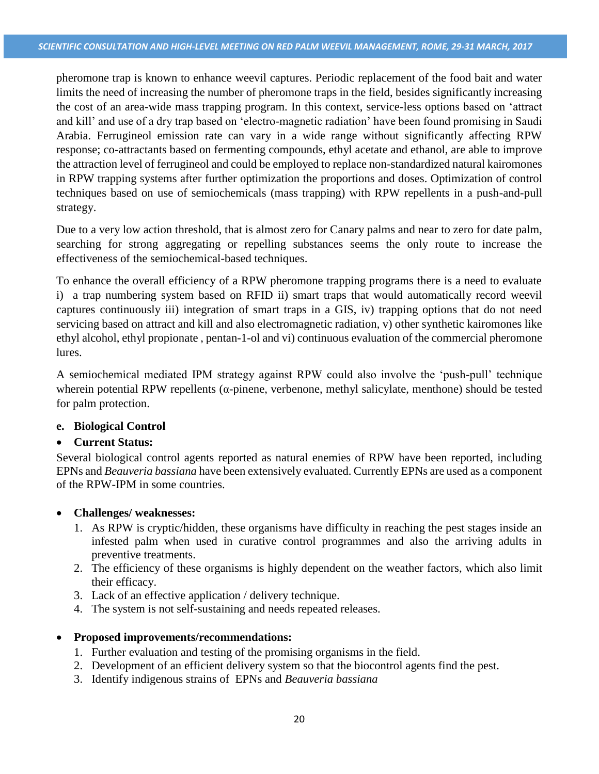pheromone trap is known to enhance weevil captures. Periodic replacement of the food bait and water limits the need of increasing the number of pheromone traps in the field, besides significantly increasing the cost of an area-wide mass trapping program. In this context, service-less options based on 'attract and kill' and use of a dry trap based on 'electro-magnetic radiation' have been found promising in Saudi Arabia. Ferrugineol emission rate can vary in a wide range without significantly affecting RPW response; co-attractants based on fermenting compounds, ethyl acetate and ethanol, are able to improve the attraction level of ferrugineol and could be employed to replace non-standardized natural kairomones in RPW trapping systems after further optimization the proportions and doses. Optimization of control techniques based on use of semiochemicals (mass trapping) with RPW repellents in a push-and-pull strategy.

Due to a very low action threshold, that is almost zero for Canary palms and near to zero for date palm, searching for strong aggregating or repelling substances seems the only route to increase the effectiveness of the semiochemical-based techniques.

To enhance the overall efficiency of a RPW pheromone trapping programs there is a need to evaluate i) a trap numbering system based on RFID ii) smart traps that would automatically record weevil captures continuously iii) integration of smart traps in a GIS, iv) trapping options that do not need servicing based on attract and kill and also electromagnetic radiation, v) other synthetic kairomones like ethyl alcohol, ethyl propionate , pentan-1-ol and vi) continuous evaluation of the commercial pheromone lures.

A semiochemical mediated IPM strategy against RPW could also involve the 'push-pull' technique wherein potential RPW repellents (α-pinene, verbenone, methyl salicylate, menthone) should be tested for palm protection.

## **e. Biological Control**

#### **Current Status:**

Several biological control agents reported as natural enemies of RPW have been reported, including EPNs and *Beauveria bassiana* have been extensively evaluated. Currently EPNs are used as a component of the RPW-IPM in some countries.

#### **Challenges/ weaknesses:**

- 1. As RPW is cryptic/hidden, these organisms have difficulty in reaching the pest stages inside an infested palm when used in curative control programmes and also the arriving adults in preventive treatments.
- 2. The efficiency of these organisms is highly dependent on the weather factors, which also limit their efficacy.
- 3. Lack of an effective application / delivery technique.
- 4. The system is not self-sustaining and needs repeated releases.

## **Proposed improvements/recommendations:**

- 1. Further evaluation and testing of the promising organisms in the field.
- 2. Development of an efficient delivery system so that the biocontrol agents find the pest.
- 3. Identify indigenous strains of EPNs and *Beauveria bassiana*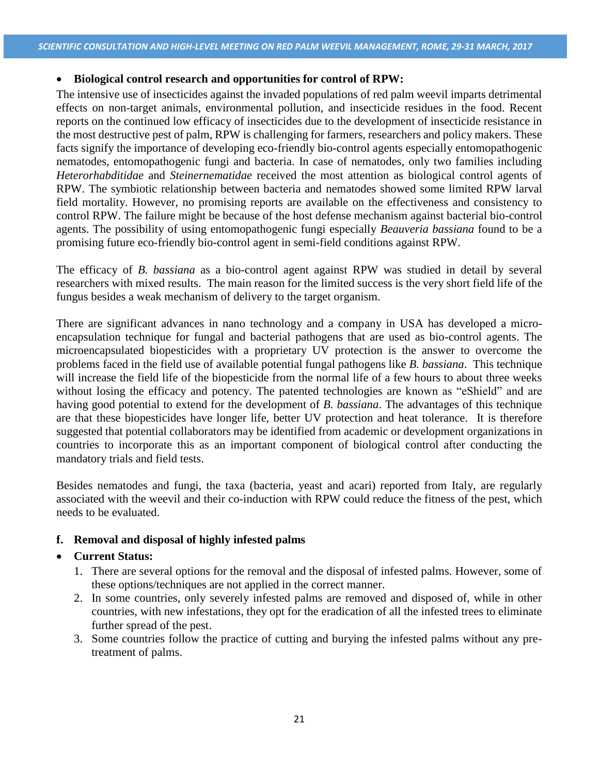## **Biological control research and opportunities for control of RPW:**

The intensive use of insecticides against the invaded populations of red palm weevil imparts detrimental effects on non-target animals, environmental pollution, and insecticide residues in the food. Recent reports on the continued low efficacy of insecticides due to the development of insecticide resistance in the most destructive pest of palm, RPW is challenging for farmers, researchers and policy makers. These facts signify the importance of developing eco-friendly bio-control agents especially entomopathogenic nematodes, entomopathogenic fungi and bacteria. In case of nematodes, only two families including *Heterorhabditidae* and *Steinernematidae* received the most attention as biological control agents of RPW. The symbiotic relationship between bacteria and nematodes showed some limited RPW larval field mortality. However, no promising reports are available on the effectiveness and consistency to control RPW. The failure might be because of the host defense mechanism against bacterial bio-control agents. The possibility of using entomopathogenic fungi especially *Beauveria bassiana* found to be a promising future eco-friendly bio-control agent in semi-field conditions against RPW.

The efficacy of *B. bassiana* as a bio-control agent against RPW was studied in detail by several researchers with mixed results. The main reason for the limited success is the very short field life of the fungus besides a weak mechanism of delivery to the target organism.

There are significant advances in nano technology and a company in USA has developed a microencapsulation technique for fungal and bacterial pathogens that are used as bio-control agents. The microencapsulated biopesticides with a proprietary UV protection is the answer to overcome the problems faced in the field use of available potential fungal pathogens like *B. bassiana*. This technique will increase the field life of the biopesticide from the normal life of a few hours to about three weeks without losing the efficacy and potency. The patented technologies are known as "eShield" and are having good potential to extend for the development of *B. bassiana*. The advantages of this technique are that these biopesticides have longer life, better UV protection and heat tolerance. It is therefore suggested that potential collaborators may be identified from academic or development organizations in countries to incorporate this as an important component of biological control after conducting the mandatory trials and field tests.

Besides nematodes and fungi, the taxa (bacteria, yeast and acari) reported from Italy, are regularly associated with the weevil and their co-induction with RPW could reduce the fitness of the pest, which needs to be evaluated.

## **f. Removal and disposal of highly infested palms**

#### **Current Status:**

- 1. There are several options for the removal and the disposal of infested palms. However, some of these options/techniques are not applied in the correct manner.
- 2. In some countries, only severely infested palms are removed and disposed of, while in other countries, with new infestations, they opt for the eradication of all the infested trees to eliminate further spread of the pest.
- 3. Some countries follow the practice of cutting and burying the infested palms without any pretreatment of palms.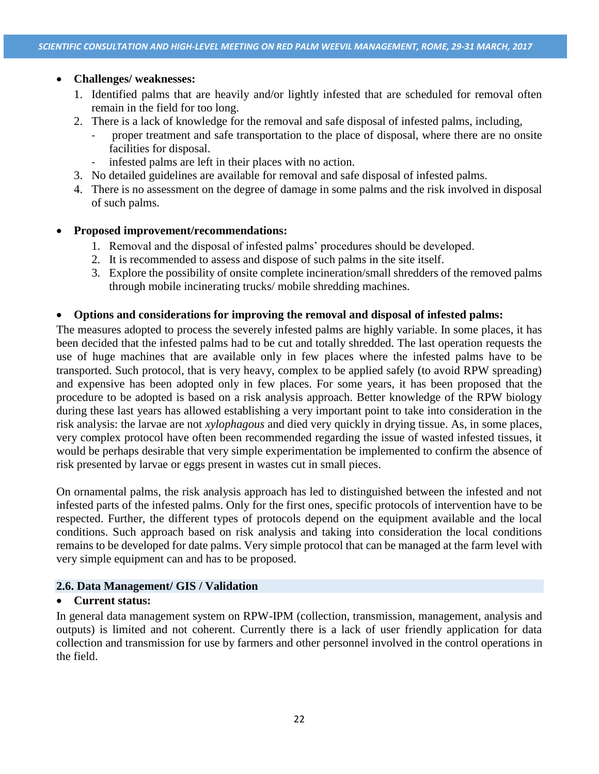## **Challenges/ weaknesses:**

- 1. Identified palms that are heavily and/or lightly infested that are scheduled for removal often remain in the field for too long.
- 2. There is a lack of knowledge for the removal and safe disposal of infested palms, including,
	- proper treatment and safe transportation to the place of disposal, where there are no onsite facilities for disposal.
	- infested palms are left in their places with no action.
- 3. No detailed guidelines are available for removal and safe disposal of infested palms.
- 4. There is no assessment on the degree of damage in some palms and the risk involved in disposal of such palms.

## **Proposed improvement/recommendations:**

- 1. Removal and the disposal of infested palms' procedures should be developed.
- 2. It is recommended to assess and dispose of such palms in the site itself.
- 3. Explore the possibility of onsite complete incineration/small shredders of the removed palms through mobile incinerating trucks/ mobile shredding machines.

## **Options and considerations for improving the removal and disposal of infested palms:**

The measures adopted to process the severely infested palms are highly variable. In some places, it has been decided that the infested palms had to be cut and totally shredded. The last operation requests the use of huge machines that are available only in few places where the infested palms have to be transported. Such protocol, that is very heavy, complex to be applied safely (to avoid RPW spreading) and expensive has been adopted only in few places. For some years, it has been proposed that the procedure to be adopted is based on a risk analysis approach. Better knowledge of the RPW biology during these last years has allowed establishing a very important point to take into consideration in the risk analysis: the larvae are not *xylophagous* and died very quickly in drying tissue. As, in some places, very complex protocol have often been recommended regarding the issue of wasted infested tissues, it would be perhaps desirable that very simple experimentation be implemented to confirm the absence of risk presented by larvae or eggs present in wastes cut in small pieces.

On ornamental palms, the risk analysis approach has led to distinguished between the infested and not infested parts of the infested palms. Only for the first ones, specific protocols of intervention have to be respected. Further, the different types of protocols depend on the equipment available and the local conditions. Such approach based on risk analysis and taking into consideration the local conditions remains to be developed for date palms. Very simple protocol that can be managed at the farm level with very simple equipment can and has to be proposed.

#### **2.6. Data Management/ GIS / Validation**

#### **Current status:**

In general data management system on RPW-IPM (collection, transmission, management, analysis and outputs) is limited and not coherent. Currently there is a lack of user friendly application for data collection and transmission for use by farmers and other personnel involved in the control operations in the field.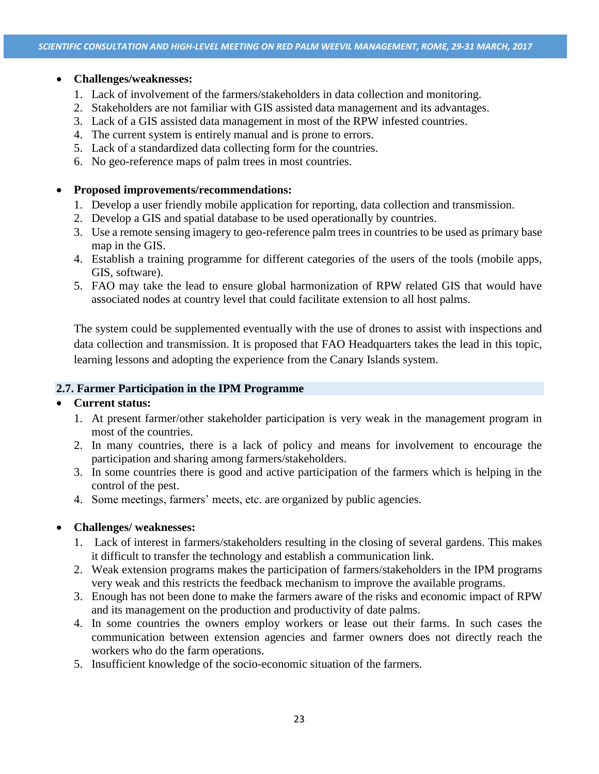### **Challenges/weaknesses:**

- 1. Lack of involvement of the farmers/stakeholders in data collection and monitoring.
- 2. Stakeholders are not familiar with GIS assisted data management and its advantages.
- 3. Lack of a GIS assisted data management in most of the RPW infested countries.
- 4. The current system is entirely manual and is prone to errors.
- 5. Lack of a standardized data collecting form for the countries.
- 6. No geo-reference maps of palm trees in most countries.

## **Proposed improvements/recommendations:**

- 1. Develop a user friendly mobile application for reporting, data collection and transmission.
- 2. Develop a GIS and spatial database to be used operationally by countries.
- 3. Use a remote sensing imagery to geo-reference palm trees in countries to be used as primary base map in the GIS.
- 4. Establish a training programme for different categories of the users of the tools (mobile apps, GIS, software).
- 5. FAO may take the lead to ensure global harmonization of RPW related GIS that would have associated nodes at country level that could facilitate extension to all host palms.

The system could be supplemented eventually with the use of drones to assist with inspections and data collection and transmission. It is proposed that FAO Headquarters takes the lead in this topic, learning lessons and adopting the experience from the Canary Islands system.

## **2.7. Farmer Participation in the IPM Programme**

#### **Current status:**

- 1. At present farmer/other stakeholder participation is very weak in the management program in most of the countries.
- 2. In many countries, there is a lack of policy and means for involvement to encourage the participation and sharing among farmers/stakeholders.
- 3. In some countries there is good and active participation of the farmers which is helping in the control of the pest.
- 4. Some meetings, farmers' meets, etc. are organized by public agencies.

## **Challenges/ weaknesses:**

- 1. Lack of interest in farmers/stakeholders resulting in the closing of several gardens. This makes it difficult to transfer the technology and establish a communication link.
- 2. Weak extension programs makes the participation of farmers/stakeholders in the IPM programs very weak and this restricts the feedback mechanism to improve the available programs.
- 3. Enough has not been done to make the farmers aware of the risks and economic impact of RPW and its management on the production and productivity of date palms.
- 4. In some countries the owners employ workers or lease out their farms. In such cases the communication between extension agencies and farmer owners does not directly reach the workers who do the farm operations.
- 5. Insufficient knowledge of the socio-economic situation of the farmers.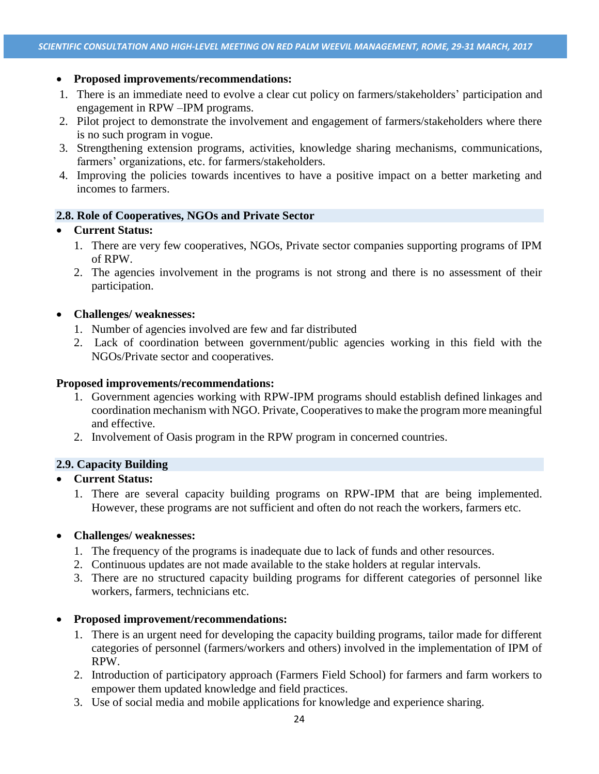## **Proposed improvements/recommendations:**

- 1. There is an immediate need to evolve a clear cut policy on farmers/stakeholders' participation and engagement in RPW –IPM programs.
- 2. Pilot project to demonstrate the involvement and engagement of farmers/stakeholders where there is no such program in vogue.
- 3. Strengthening extension programs, activities, knowledge sharing mechanisms, communications, farmers' organizations, etc. for farmers/stakeholders.
- 4. Improving the policies towards incentives to have a positive impact on a better marketing and incomes to farmers.

## **2.8. Role of Cooperatives, NGOs and Private Sector**

## **Current Status:**

- 1. There are very few cooperatives, NGOs, Private sector companies supporting programs of IPM of RPW.
- 2. The agencies involvement in the programs is not strong and there is no assessment of their participation.

## **Challenges/ weaknesses:**

- 1. Number of agencies involved are few and far distributed
- 2. Lack of coordination between government/public agencies working in this field with the NGOs/Private sector and cooperatives.

## **Proposed improvements/recommendations:**

- 1. Government agencies working with RPW-IPM programs should establish defined linkages and coordination mechanism with NGO. Private, Cooperatives to make the program more meaningful and effective.
- 2. Involvement of Oasis program in the RPW program in concerned countries.

## **2.9. Capacity Building**

## **Current Status:**

1. There are several capacity building programs on RPW-IPM that are being implemented. However, these programs are not sufficient and often do not reach the workers, farmers etc.

#### **Challenges/ weaknesses:**

- 1. The frequency of the programs is inadequate due to lack of funds and other resources.
- 2. Continuous updates are not made available to the stake holders at regular intervals.
- 3. There are no structured capacity building programs for different categories of personnel like workers, farmers, technicians etc.

#### **Proposed improvement/recommendations:**

- 1. There is an urgent need for developing the capacity building programs, tailor made for different categories of personnel (farmers/workers and others) involved in the implementation of IPM of RPW.
- 2. Introduction of participatory approach (Farmers Field School) for farmers and farm workers to empower them updated knowledge and field practices.
- 3. Use of social media and mobile applications for knowledge and experience sharing.